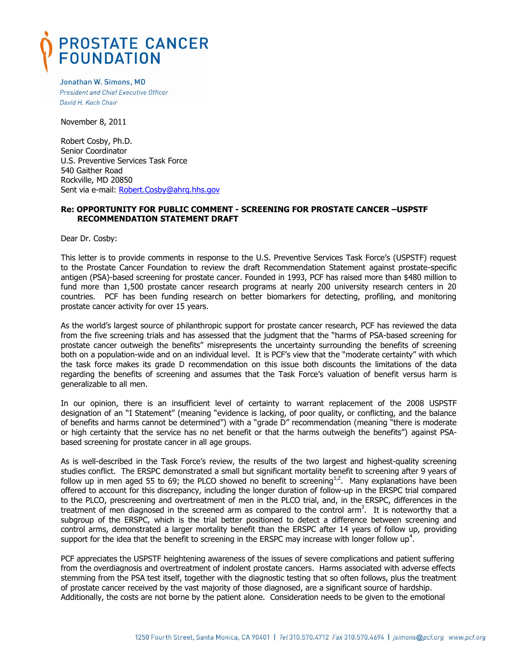## PROSTATE CANCER<br>FOUNDATION

Jonathan W. Simons, MD **President and Chief Executive Officer** David H. Koch Chair

November 8, 2011

Robert Cosby, Ph.D. Senior Coordinator U.S. Preventive Services Task Force 540 Gaither Road Rockville, MD 20850 Sent via e-mail: [Robert.Cosby@ahrq.hhs.gov](mailto:Robert.Cosby@ahrq.hhs.gov)

## **Re: OPPORTUNITY FOR PUBLIC COMMENT - SCREENING FOR PROSTATE CANCER –USPSTF RECOMMENDATION STATEMENT DRAFT**

Dear Dr. Cosby:

This letter is to provide comments in response to the U.S. Preventive Services Task Force's (USPSTF) request to the Prostate Cancer Foundation to review the draft Recommendation Statement against prostate-specific antigen (PSA)-based screening for prostate cancer. Founded in 1993, PCF has raised more than \$480 million to fund more than 1,500 prostate cancer research programs at nearly 200 university research centers in 20 countries. PCF has been funding research on better biomarkers for detecting, profiling, and monitoring prostate cancer activity for over 15 years.

As the world's largest source of philanthropic support for prostate cancer research, PCF has reviewed the data from the five screening trials and has assessed that the judgment that the "harms of PSA-based screening for prostate cancer outweigh the benefits" misrepresents the uncertainty surrounding the benefits of screening both on a population-wide and on an individual level. It is PCF's view that the "moderate certainty" with which the task force makes its grade D recommendation on this issue both discounts the limitations of the data regarding the benefits of screening and assumes that the Task Force's valuation of benefit versus harm is generalizable to all men.

In our opinion, there is an insufficient level of certainty to warrant replacement of the 2008 USPSTF designation of an "I Statement" (meaning "evidence is lacking, of poor quality, or conflicting, and the balance of benefits and harms cannot be determined") with a "grade D" recommendation (meaning "there is moderate or high certainty that the service has no net benefit or that the harms outweigh the benefits") against PSAbased screening for prostate cancer in all age groups.

As is well-described in the Task Force's review, the results of the two largest and highest-quality screening studies conflict. The ERSPC demonstrated a small but significant mortality benefit to screening after 9 years of follow up in men aged 55 to 69; the PLCO showed no benefit to screening<sup>1,2</sup>. Many explanations have been offered to account for this discrepancy, including the longer duration of follow-up in the ERSPC trial compared to the PLCO, prescreening and overtreatment of men in the PLCO trial, and, in the ERSPC, differences in the treatment of men diagnosed in the screened arm as compared to the control arm<sup>3</sup>. It is noteworthy that a subgroup of the ERSPC, which is the trial better positioned to detect a difference between screening and control arms, demonstrated a larger mortality benefit than the ERSPC after 14 years of follow up, providing support for the idea that the benefit to screening in the ERSPC may increase with longer follow up<sup>4</sup>.

PCF appreciates the USPSTF heightening awareness of the issues of severe complications and patient suffering from the overdiagnosis and overtreatment of indolent prostate cancers. Harms associated with adverse effects stemming from the PSA test itself, together with the diagnostic testing that so often follows, plus the treatment of prostate cancer received by the vast majority of those diagnosed, are a significant source of hardship. Additionally, the costs are not borne by the patient alone. Consideration needs to be given to the emotional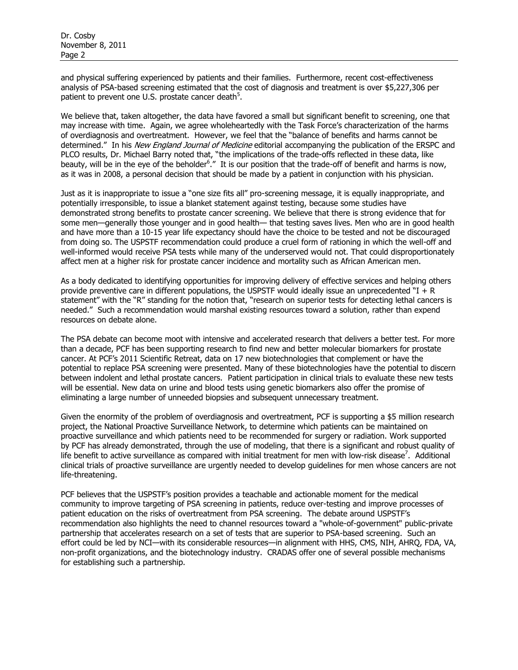and physical suffering experienced by patients and their families. Furthermore, recent cost-effectiveness analysis of PSA-based screening estimated that the cost of diagnosis and treatment is over \$5,227,306 per patient to prevent one U.S. prostate cancer death $5$ .

We believe that, taken altogether, the data have favored a small but significant benefit to screening, one that may increase with time. Again, we agree wholeheartedly with the Task Force's characterization of the harms of overdiagnosis and overtreatment. However, we feel that the "balance of benefits and harms cannot be determined." In his New England Journal of Medicine editorial accompanying the publication of the ERSPC and PLCO results, Dr. Michael Barry noted that, "the implications of the trade-offs reflected in these data, like beauty, will be in the eye of the beholder<sup>6</sup>." It is our position that the trade-off of benefit and harms is now, as it was in 2008, a personal decision that should be made by a patient in conjunction with his physician.

Just as it is inappropriate to issue a "one size fits all" pro-screening message, it is equally inappropriate, and potentially irresponsible, to issue a blanket statement against testing, because some studies have demonstrated strong benefits to prostate cancer screening. We believe that there is strong evidence that for some men—generally those younger and in good health— that testing saves lives. Men who are in good health and have more than a 10-15 year life expectancy should have the choice to be tested and not be discouraged from doing so. The USPSTF recommendation could produce a cruel form of rationing in which the well-off and well-informed would receive PSA tests while many of the underserved would not. That could disproportionately affect men at a higher risk for prostate cancer incidence and mortality such as African American men.

As a body dedicated to identifying opportunities for improving delivery of effective services and helping others provide preventive care in different populations, the USPSTF would ideally issue an unprecedented  $H + R$ statement" with the "R" standing for the notion that, "research on superior tests for detecting lethal cancers is needed." Such a recommendation would marshal existing resources toward a solution, rather than expend resources on debate alone.

The PSA debate can become moot with intensive and accelerated research that delivers a better test. For more than a decade, PCF has been supporting research to find new and better molecular biomarkers for prostate cancer. At PCF's 2011 Scientific Retreat, data on 17 new biotechnologies that complement or have the potential to replace PSA screening were presented. Many of these biotechnologies have the potential to discern between indolent and lethal prostate cancers. Patient participation in clinical trials to evaluate these new tests will be essential. New data on urine and blood tests using genetic biomarkers also offer the promise of eliminating a large number of unneeded biopsies and subsequent unnecessary treatment.

Given the enormity of the problem of overdiagnosis and overtreatment, PCF is supporting a \$5 million research project, the National Proactive Surveillance Network, to determine which patients can be maintained on proactive surveillance and which patients need to be recommended for surgery or radiation. Work supported by PCF has already demonstrated, through the use of modeling, that there is a significant and robust quality of life benefit to active surveillance as compared with initial treatment for men with low-risk disease<sup>7</sup>. Additional clinical trials of proactive surveillance are urgently needed to develop guidelines for men whose cancers are not life-threatening.

PCF believes that the USPSTF's position provides a teachable and actionable moment for the medical community to improve targeting of PSA screening in patients, reduce over-testing and improve processes of patient education on the risks of overtreatment from PSA screening. The debate around USPSTF's recommendation also highlights the need to channel resources toward a "whole-of-government" public-private partnership that accelerates research on a set of tests that are superior to PSA-based screening. Such an effort could be led by NCI—with its considerable resources—in alignment with HHS, CMS, NIH, AHRQ, FDA, VA, non-profit organizations, and the biotechnology industry. CRADAS offer one of several possible mechanisms for establishing such a partnership.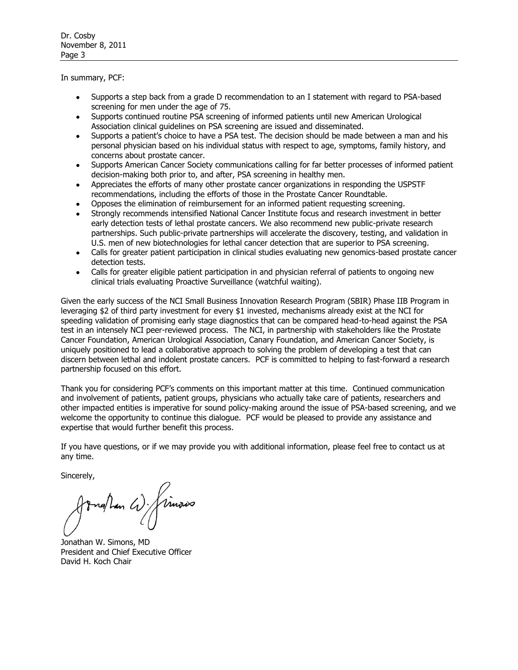In summary, PCF:

- Supports a step back from a grade D recommendation to an I statement with regard to PSA-based  $\bullet$ screening for men under the age of 75.
- Supports continued routine PSA screening of informed patients until new American Urological Association clinical guidelines on PSA screening are issued and disseminated.
- Supports a patient's choice to have a PSA test. The decision should be made between a man and his personal physician based on his individual status with respect to age, symptoms, family history, and concerns about prostate cancer.
- Supports American Cancer Society communications calling for far better processes of informed patient  $\bullet$ decision-making both prior to, and after, PSA screening in healthy men.
- Appreciates the efforts of many other prostate cancer organizations in responding the USPSTF recommendations, including the efforts of those in the Prostate Cancer Roundtable.
- Opposes the elimination of reimbursement for an informed patient requesting screening.  $\bullet$
- Strongly recommends intensified National Cancer Institute focus and research investment in better early detection tests of lethal prostate cancers. We also recommend new public-private research partnerships. Such public-private partnerships will accelerate the discovery, testing, and validation in U.S. men of new biotechnologies for lethal cancer detection that are superior to PSA screening.
- Calls for greater patient participation in clinical studies evaluating new genomics-based prostate cancer detection tests.
- Calls for greater eligible patient participation in and physician referral of patients to ongoing new clinical trials evaluating Proactive Surveillance (watchful waiting).

Given the early success of the NCI Small Business Innovation Research Program (SBIR) Phase IIB Program in leveraging \$2 of third party investment for every \$1 invested, mechanisms already exist at the NCI for speeding validation of promising early stage diagnostics that can be compared head-to-head against the PSA test in an intensely NCI peer-reviewed process. The NCI, in partnership with stakeholders like the Prostate Cancer Foundation, American Urological Association, Canary Foundation, and American Cancer Society, is uniquely positioned to lead a collaborative approach to solving the problem of developing a test that can discern between lethal and indolent prostate cancers. PCF is committed to helping to fast-forward a research partnership focused on this effort.

Thank you for considering PCF's comments on this important matter at this time. Continued communication and involvement of patients, patient groups, physicians who actually take care of patients, researchers and other impacted entities is imperative for sound policy-making around the issue of PSA-based screening, and we welcome the opportunity to continue this dialogue. PCF would be pleased to provide any assistance and expertise that would further benefit this process.

If you have questions, or if we may provide you with additional information, please feel free to contact us at any time.

Sincerely,

ngthan W/ Timous

Jonathan W. Simons, MD President and Chief Executive Officer David H. Koch Chair